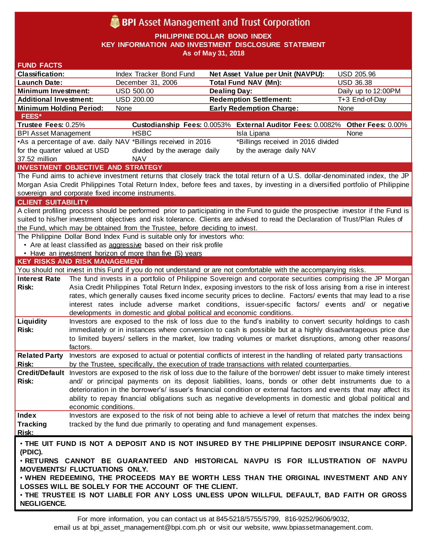# **BPI** Asset Management and Trust Corporation

**PHILIPPINE DOLLAR BOND INDEX**

**KEY INFORMATION AND INVESTMENT DISCLOSURE STATEMENT**

**As of May 31, 2018**

| <b>Classification:</b>                   |                      |                                                                              |                                                                                                                                    |                     |
|------------------------------------------|----------------------|------------------------------------------------------------------------------|------------------------------------------------------------------------------------------------------------------------------------|---------------------|
|                                          |                      | Index Tracker Bond Fund                                                      | Net Asset Value per Unit (NAVPU):                                                                                                  | USD 205.96          |
| <b>Launch Date:</b>                      |                      | December 31, 2006                                                            | <b>Total Fund NAV (Mn):</b>                                                                                                        | <b>USD 36.38</b>    |
| <b>Minimum Investment:</b>               |                      | USD 500.00                                                                   | <b>Dealing Day:</b>                                                                                                                | Daily up to 12:00PM |
| <b>Additional Investment:</b>            |                      | <b>USD 200.00</b>                                                            | <b>Redemption Settlement:</b>                                                                                                      | T+3 End-of-Day      |
| <b>Minimum Holding Period:</b>           |                      | None                                                                         | <b>Early Redemption Charge:</b>                                                                                                    | None                |
| FEES*                                    |                      |                                                                              |                                                                                                                                    |                     |
| Trustee Fees: 0.25%                      |                      |                                                                              | Custodianship Fees: 0.0053% External Auditor Fees: 0.0082% Other Fees: 0.00%                                                       |                     |
| <b>BPI Asset Management</b>              |                      | <b>HSBC</b>                                                                  | Isla Lipana                                                                                                                        | None                |
|                                          |                      | •As a percentage of ave. daily NAV *Billings received in 2016                | *Billings received in 2016 divided                                                                                                 |                     |
| for the quarter valued at USD            |                      | divided by the average daily                                                 | by the average daily NAV                                                                                                           |                     |
| 37.52 million                            |                      | <b>NAV</b>                                                                   |                                                                                                                                    |                     |
| <b>INVESTMENT OBJECTIVE AND STRATEGY</b> |                      |                                                                              |                                                                                                                                    |                     |
|                                          |                      |                                                                              | The Fund aims to achieve investment returns that closely track the total return of a U.S. dollar-denominated index, the JP         |                     |
|                                          |                      |                                                                              | Morgan Asia Credit Philippines Total Return Index, before fees and taxes, by investing in a diversified portfolio of Philippine    |                     |
|                                          |                      | sovereign and corporate fixed income instruments.                            |                                                                                                                                    |                     |
| <b>CLIENT SUITABILITY</b>                |                      |                                                                              |                                                                                                                                    |                     |
|                                          |                      |                                                                              | A client profiling process should be performed prior to participating in the Fund to guide the prospective investor if the Fund is |                     |
|                                          |                      |                                                                              | suited to his/her investment objectives and risk tolerance. Clients are advised to read the Declaration of Trust/Plan Rules of     |                     |
|                                          |                      | the Fund, which may be obtained from the Trustee, before deciding to invest. |                                                                                                                                    |                     |
|                                          |                      | The Philippine Dollar Bond Index Fund is suitable only for investors who:    |                                                                                                                                    |                     |
|                                          |                      | • Are at least classified as aggressive based on their risk profile          |                                                                                                                                    |                     |
|                                          |                      | . Have an investment horizon of more than five (5) years                     |                                                                                                                                    |                     |
| <b>KEY RISKS AND RISK MANAGEMENT</b>     |                      |                                                                              |                                                                                                                                    |                     |
|                                          |                      |                                                                              | You should not invest in this Fund if you do not understand or are not comfortable with the accompanying risks.                    |                     |
| <b>Interest Rate</b>                     |                      |                                                                              | The fund invests in a portfolio of Philippine Sovereign and corporate securities comprising the JP Morgan                          |                     |
| Risk:                                    |                      |                                                                              | Asia Credit Philippines Total Return Index, exposing investors to the risk of loss arising from a rise in interest                 |                     |
|                                          |                      |                                                                              | rates, which generally causes fixed income security prices to decline. Factors/ events that may lead to a rise                     |                     |
|                                          |                      |                                                                              | interest rates include adverse market conditions, issuer-specific factors/ events and/ or negative                                 |                     |
|                                          |                      |                                                                              |                                                                                                                                    |                     |
|                                          |                      |                                                                              | developments in domestic and global political and economic conditions.                                                             |                     |
| Liquidity                                |                      |                                                                              | Investors are exposed to the risk of loss due to the fund's inability to convert security holdings to cash                         |                     |
| Risk:                                    |                      |                                                                              | immediately or in instances where conversion to cash is possible but at a highly disadvantageous price due                         |                     |
|                                          |                      |                                                                              | to limited buyers/ sellers in the market, low trading volumes or market disruptions, among other reasons/                          |                     |
|                                          | factors.             |                                                                              |                                                                                                                                    |                     |
| <b>Related Party</b>                     |                      |                                                                              | Investors are exposed to actual or potential conflicts of interest in the handling of related party transactions                   |                     |
| Risk:                                    |                      |                                                                              | by the Trustee, specifically, the execution of trade transactions with related counterparties.                                     |                     |
|                                          |                      |                                                                              | Credit/Default Investors are exposed to the risk of loss due to the failure of the borrower/ debt issuer to make timely interest   |                     |
| Risk:                                    |                      |                                                                              | and/ or principal payments on its deposit liabilities, loans, bonds or other debt instruments due to a                             |                     |
|                                          |                      |                                                                              | deterioration in the borrower's/ issuer's financial condition or external factors and events that may affect its                   |                     |
|                                          |                      |                                                                              | ability to repay financial obligations such as negative developments in domestic and global political and                          |                     |
|                                          | economic conditions. |                                                                              |                                                                                                                                    |                     |
| Index                                    |                      |                                                                              | Investors are exposed to the risk of not being able to achieve a level of return that matches the index being                      |                     |
| <b>Tracking</b>                          |                      |                                                                              | tracked by the fund due primarily to operating and fund management expenses.                                                       |                     |
| Risk:                                    |                      |                                                                              |                                                                                                                                    |                     |
|                                          |                      |                                                                              | . THE UIT FUND IS NOT A DEPOSIT AND IS NOT INSURED BY THE PHILIPPINE DEPOSIT INSURANCE CORP.                                       |                     |
| (PDIC).                                  |                      |                                                                              |                                                                                                                                    |                     |
|                                          |                      |                                                                              | . RETURNS CANNOT BE GUARANTEED AND HISTORICAL NAVPU IS FOR ILLUSTRATION OF NAVPU                                                   |                     |
| <b>MOVEMENTS/ FLUCTUATIONS ONLY.</b>     |                      |                                                                              |                                                                                                                                    |                     |
|                                          |                      |                                                                              | . WHEN REDEEMING, THE PROCEEDS MAY BE WORTH LESS THAN THE ORIGINAL INVESTMENT AND ANY                                              |                     |
|                                          |                      | LOSSES WILL BE SOLELY FOR THE ACCOUNT OF THE CLIENT.                         | . THE TRUSTEE IS NOT LIABLE FOR ANY LOSS UNLESS UPON WILLFUL DEFAULT, BAD FAITH OR GROSS                                           |                     |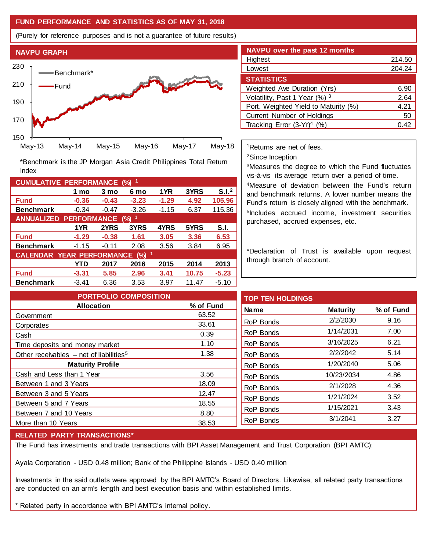## **FUND PERFORMANCE AND STATISTICS AS OF MAY 31, 2018**

(Purely for reference purposes and is not a guarantee of future results)



**Fund -0.36 -0.43 -3.23 -1.29 4.92 105.96 Benchmark** -0.34 -0.47 -3.26 -1.15 6.37 115.36

\*Benchmark is the JP Morgan Asia Credit Philippines Total Return

**Fund -1.29 -0.38 1.61 3.05 3.36 6.53 Benchmark** -1.15 -0.11 2.08 3.56 3.84 6.95

**Fund -3.31 5.85 2.96 3.41 10.75 -5.23 Benchmark** -3.41 6.36 3.53 3.97 11.47 -5.10

**1 mo 3 mo 6 mo 1YR 3YRS S.I.<sup>2</sup>**

**1YR 2YRS 3YRS 4YRS 5YRS S.I.**

**YTD 2017 2016 2015 2014 2013**

| <b>NAVPU over the past 12 months</b> |        |  |  |  |  |
|--------------------------------------|--------|--|--|--|--|
| Highest                              | 214.50 |  |  |  |  |
| Lowest                               | 204.24 |  |  |  |  |
| <b>STATISTICS</b>                    |        |  |  |  |  |
| Weighted Ave Duration (Yrs)          | 6.90   |  |  |  |  |
| Volatility, Past 1 Year (%) 3        | 2.64   |  |  |  |  |
| Port. Weighted Yield to Maturity (%) | 4.21   |  |  |  |  |
| Current Number of Holdings           | 50     |  |  |  |  |
| Tracking Error $(3-Yr)^4$ (%)        | 0.42   |  |  |  |  |

<sup>1</sup>Returns are net of fees.

<sup>2</sup>Since Inception

<sup>3</sup>Measures the degree to which the Fund fluctuates vis-à-vis its average return over a period of time.

<sup>4</sup>Measure of deviation between the Fund's return and benchmark returns. A lower number means the Fund's return is closely aligned with the benchmark. 5 Includes accrued income, investment securities purchased, accrued expenses, etc.

\*Declaration of Trust is available upon request through branch of account.

| <b>PORTFOLIO COMPOSITION</b>                          |           | <b>TOP TEN HOLDINGS</b> |                 |           |
|-------------------------------------------------------|-----------|-------------------------|-----------------|-----------|
| <b>Allocation</b>                                     | % of Fund | <b>Name</b>             | <b>Maturity</b> | % of Fund |
| Government                                            | 63.52     |                         |                 |           |
| Corporates                                            | 33.61     | RoP Bonds               | 2/2/2030        | 9.16      |
| Cash                                                  | 0.39      | RoP Bonds               | 1/14/2031       | 7.00      |
| Time deposits and money market                        | 1.10      | RoP Bonds               | 3/16/2025       | 6.21      |
| Other receivables $-$ net of liabilities <sup>5</sup> | 1.38      | RoP Bonds               | 2/2/2042        | 5.14      |
| <b>Maturity Profile</b>                               |           | RoP Bonds               | 1/20/2040       | 5.06      |
| Cash and Less than 1 Year                             | 3.56      | RoP Bonds               | 10/23/2034      | 4.86      |
| Between 1 and 3 Years                                 | 18.09     | RoP Bonds               | 2/1/2028        | 4.36      |
| Between 3 and 5 Years                                 | 12.47     |                         |                 |           |
| Between 5 and 7 Years                                 | 18.55     | RoP Bonds               | 1/21/2024       | 3.52      |
| Between 7 and 10 Years                                | 8.80      | RoP Bonds               | 1/15/2021       | 3.43      |
| More than 10 Years                                    | 38.53     | RoP Bonds               | 3/1/2041        | 3.27      |
|                                                       |           |                         |                 |           |

#### **RELATED PARTY TRANSACTIONS\***

**CUMULATIVE PERFORMANCE (%) <sup>1</sup>**

Index

**ANNUALIZED PERFORMANCE (%) <sup>1</sup>**

**CALENDAR YEAR PERFORMANCE (%) <sup>1</sup>**

The Fund has investments and trade transactions with BPI Asset Management and Trust Corporation (BPI AMTC):

Ayala Corporation - USD 0.48 million; Bank of the Philippine Islands - USD 0.40 million

Investments in the said outlets were approved by the BPI AMTC's Board of Directors. Likewise, all related party transactions are conducted on an arm's length and best execution basis and within established limits.

\* Related party in accordance with BPI AMTC's internal policy.